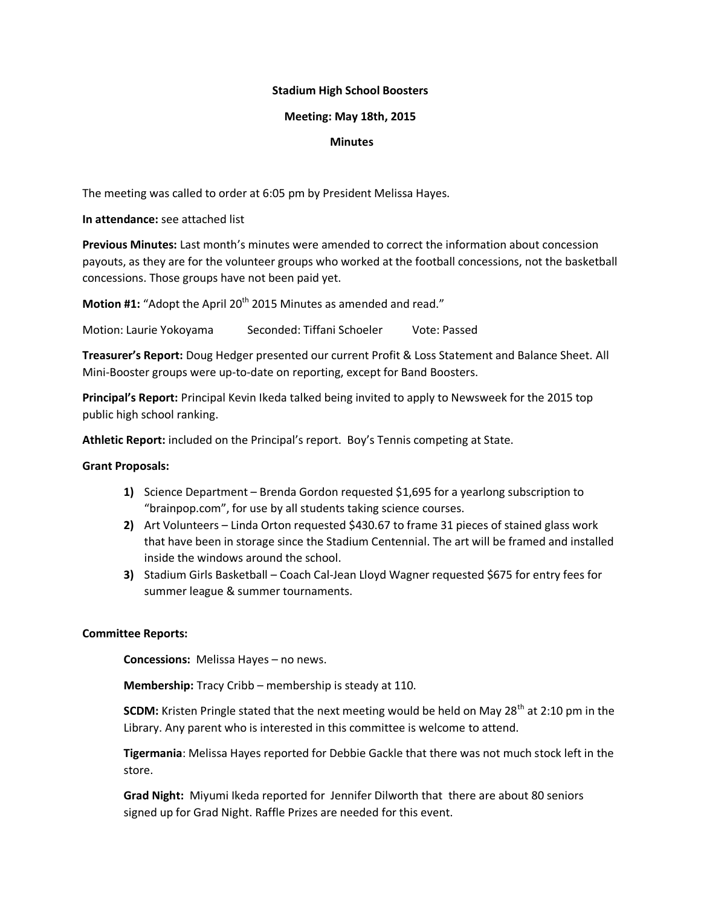# **Stadium High School Boosters**

# **Meeting: May 18th, 2015**

## **Minutes**

The meeting was called to order at 6:05 pm by President Melissa Hayes.

**In attendance:** see attached list

**Previous Minutes:** Last month's minutes were amended to correct the information about concession payouts, as they are for the volunteer groups who worked at the football concessions, not the basketball concessions. Those groups have not been paid yet.

**Motion #1:** "Adopt the April 20<sup>th</sup> 2015 Minutes as amended and read."

Motion: Laurie Yokoyama Seconded: Tiffani Schoeler Vote: Passed

**Treasurer's Report:** Doug Hedger presented our current Profit & Loss Statement and Balance Sheet. All Mini-Booster groups were up-to-date on reporting, except for Band Boosters.

**Principal's Report:** Principal Kevin Ikeda talked being invited to apply to Newsweek for the 2015 top public high school ranking.

**Athletic Report:** included on the Principal's report. Boy's Tennis competing at State.

### **Grant Proposals:**

- **1)** Science Department Brenda Gordon requested \$1,695 for a yearlong subscription to "brainpop.com", for use by all students taking science courses.
- **2)** Art Volunteers Linda Orton requested \$430.67 to frame 31 pieces of stained glass work that have been in storage since the Stadium Centennial. The art will be framed and installed inside the windows around the school.
- **3)** Stadium Girls Basketball Coach Cal-Jean Lloyd Wagner requested \$675 for entry fees for summer league & summer tournaments.

### **Committee Reports:**

**Concessions:** Melissa Hayes – no news.

**Membership:** Tracy Cribb – membership is steady at 110.

**SCDM:** Kristen Pringle stated that the next meeting would be held on May 28<sup>th</sup> at 2:10 pm in the Library. Any parent who is interested in this committee is welcome to attend.

**Tigermania**: Melissa Hayes reported for Debbie Gackle that there was not much stock left in the store.

**Grad Night:** Miyumi Ikeda reported for Jennifer Dilworth that there are about 80 seniors signed up for Grad Night. Raffle Prizes are needed for this event.